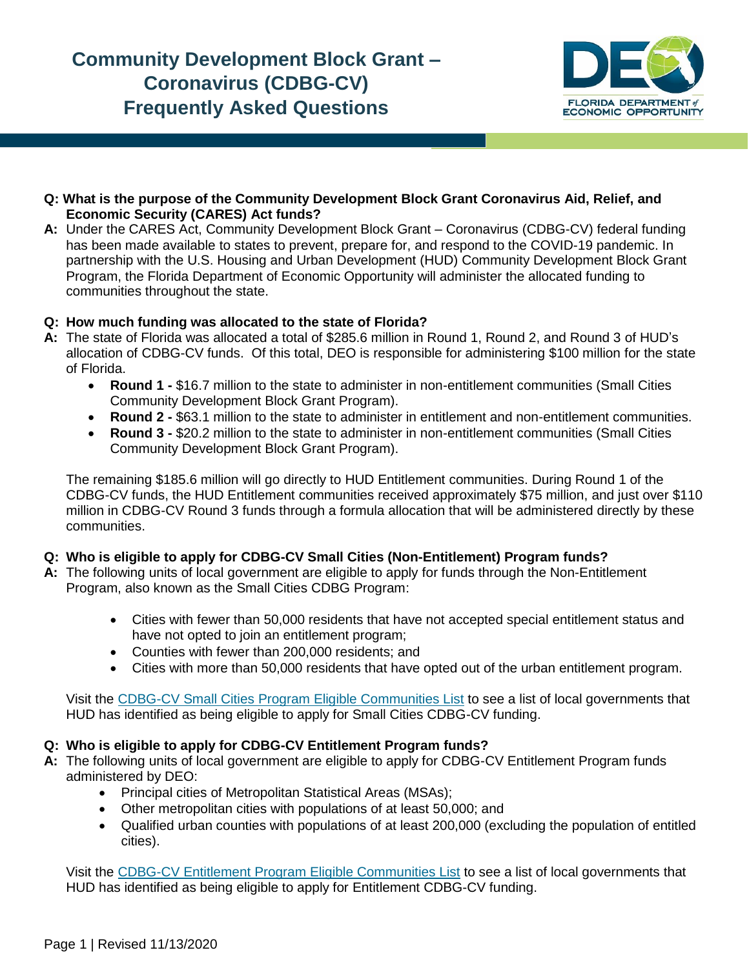

#### **Q: What is the purpose of the Community Development Block Grant Coronavirus Aid, Relief, and Economic Security (CARES) Act funds?**

**A:** Under the CARES Act, Community Development Block Grant – Coronavirus (CDBG-CV) federal funding has been made available to states to prevent, prepare for, and respond to the COVID-19 pandemic. In partnership with the U.S. Housing and Urban Development (HUD) Community Development Block Grant Program, the Florida Department of Economic Opportunity will administer the allocated funding to communities throughout the state.

#### **Q: How much funding was allocated to the state of Florida?**

- **A:** The state of Florida was allocated a total of \$285.6 million in Round 1, Round 2, and Round 3 of HUD's allocation of CDBG-CV funds. Of this total, DEO is responsible for administering \$100 million for the state of Florida.
	- **Round 1 -** \$16.7 million to the state to administer in non-entitlement communities (Small Cities Community Development Block Grant Program).
	- **Round 2 -** \$63.1 million to the state to administer in entitlement and non-entitlement communities.
	- **Round 3 -** \$20.2 million to the state to administer in non-entitlement communities (Small Cities Community Development Block Grant Program).

The remaining \$185.6 million will go directly to HUD Entitlement communities. During Round 1 of the CDBG-CV funds, the HUD Entitlement communities received approximately \$75 million, and just over \$110 million in CDBG-CV Round 3 funds through a formula allocation that will be administered directly by these communities.

# **Q: Who is eligible to apply for CDBG-CV Small Cities (Non-Entitlement) Program funds?**

- **A:** The following units of local government are eligible to apply for funds through the Non-Entitlement Program, also known as the Small Cities CDBG Program:
	- Cities with fewer than 50,000 residents that have not accepted special entitlement status and have not opted to join an entitlement program;
	- Counties with fewer than 200,000 residents; and
	- Cities with more than 50,000 residents that have opted out of the urban entitlement program.

Visit the [CDBG-CV Small Cities Program](http://floridajobs.org/docs/default-source/2015-community-development/community-revitalization/cdbg/cdbg-cv/cdbgcvsmallcitieseligible.pdf?sfvrsn=2ed34ab0_2) Eligible Communities List to see a list of local governments that HUD has identified as being eligible to apply for Small Cities CDBG-CV funding.

#### **Q: Who is eligible to apply for CDBG-CV Entitlement Program funds?**

- **A:** The following units of local government are eligible to apply for CDBG-CV Entitlement Program funds administered by DEO:
	- Principal cities of Metropolitan Statistical Areas (MSAs);
	- Other metropolitan cities with populations of at least 50,000; and
	- Qualified urban counties with populations of at least 200,000 (excluding the population of entitled cities).

Visit the [CDBG-CV Entitlement Program](http://floridajobs.org/docs/default-source/2015-community-development/community-revitalization/cdbg/cdbg-cv/cdbgcventitlementeligible.pdf?sfvrsn=1bd34ab0_2) Eligible Communities List to see a list of local governments that HUD has identified as being eligible to apply for Entitlement CDBG-CV funding.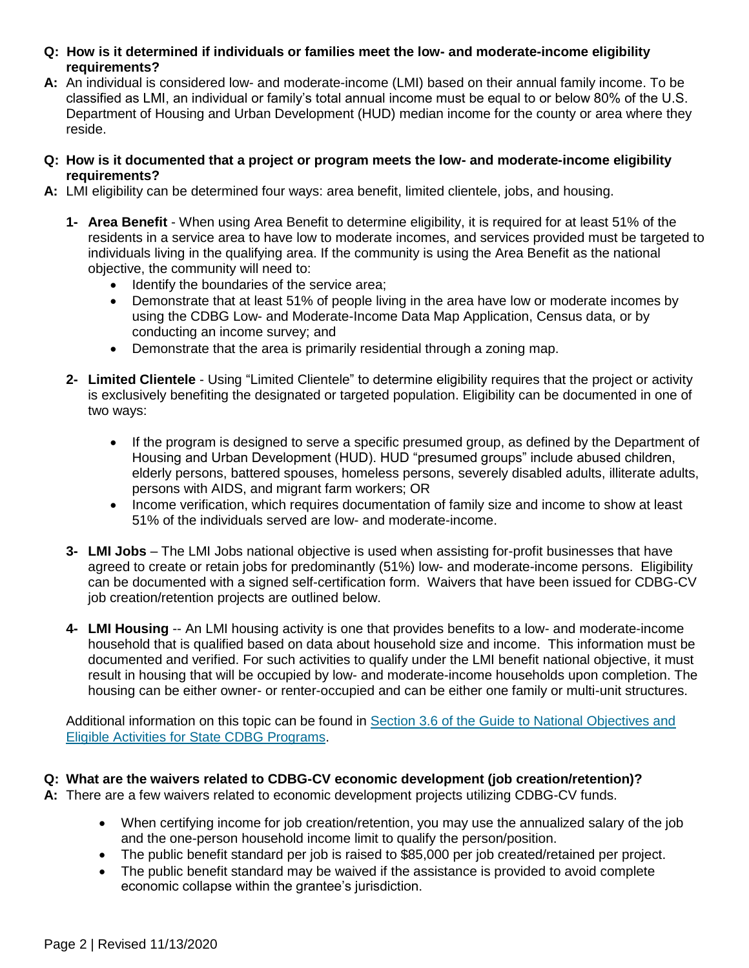- **Q: How is it determined if individuals or families meet the low- and moderate-income eligibility requirements?**
- **A:** An individual is considered low- and moderate-income (LMI) based on their annual family income. To be classified as LMI, an individual or family's total annual income must be equal to or below 80% of the U.S. Department of Housing and Urban Development (HUD) median income for the county or area where they reside.
- **Q: How is it documented that a project or program meets the low- and moderate-income eligibility requirements?**
- **A:** LMI eligibility can be determined four ways: area benefit, limited clientele, jobs, and housing.
	- **1- Area Benefit** When using Area Benefit to determine eligibility, it is required for at least 51% of the residents in a service area to have low to moderate incomes, and services provided must be targeted to individuals living in the qualifying area. If the community is using the Area Benefit as the national objective, the community will need to:
		- Identify the boundaries of the service area;
		- Demonstrate that at least 51% of people living in the area have low or moderate incomes by using the CDBG Low- and Moderate-Income Data Map Application, Census data, or by conducting an income survey; and
		- Demonstrate that the area is primarily residential through a zoning map.
	- **2- Limited Clientele** Using "Limited Clientele" to determine eligibility requires that the project or activity is exclusively benefiting the designated or targeted population. Eligibility can be documented in one of two ways:
		- If the program is designed to serve a specific presumed group, as defined by the Department of Housing and Urban Development (HUD). HUD "presumed groups" include abused children, elderly persons, battered spouses, homeless persons, severely disabled adults, illiterate adults, persons with AIDS, and migrant farm workers; OR
		- Income verification, which requires documentation of family size and income to show at least 51% of the individuals served are low- and moderate-income.
	- **3- LMI Jobs** The LMI Jobs national objective is used when assisting for-profit businesses that have agreed to create or retain jobs for predominantly (51%) low- and moderate-income persons. Eligibility can be documented with a signed self-certification form. Waivers that have been issued for CDBG-CV job creation/retention projects are outlined below.
	- **4- LMI Housing** -- An LMI housing activity is one that provides benefits to a low- and moderate-income household that is qualified based on data about household size and income. This information must be documented and verified. For such activities to qualify under the LMI benefit national objective, it must result in housing that will be occupied by low- and moderate-income households upon completion. The housing can be either owner- or renter-occupied and can be either one family or multi-unit structures.

Additional information on this topic can be found in [Section 3.6 of the Guide to National Objectives and](https://www.hudexchange.info/sites/onecpd/assets/File/CDBG-State-National-Objectives-Eligible-Activities-Chapter-3.pdf#page=10)  [Eligible Activities for State CDBG Programs.](https://www.hudexchange.info/sites/onecpd/assets/File/CDBG-State-National-Objectives-Eligible-Activities-Chapter-3.pdf#page=10)

# **Q: What are the waivers related to CDBG-CV economic development (job creation/retention)?**

**A:** There are a few waivers related to economic development projects utilizing CDBG-CV funds.

- When certifying income for job creation/retention, you may use the annualized salary of the job and the one-person household income limit to qualify the person/position.
- The public benefit standard per job is raised to \$85,000 per job created/retained per project.
- The public benefit standard may be waived if the assistance is provided to avoid complete economic collapse within the grantee's jurisdiction.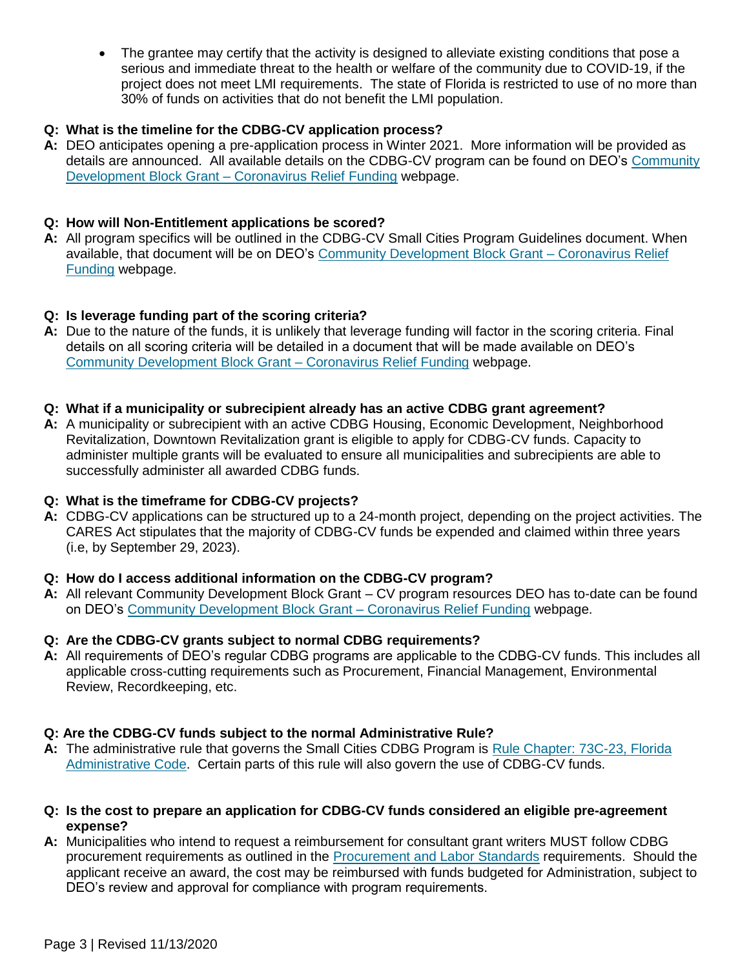• The grantee may certify that the activity is designed to alleviate existing conditions that pose a serious and immediate threat to the health or welfare of the community due to COVID-19, if the project does not meet LMI requirements. The state of Florida is restricted to use of no more than 30% of funds on activities that do not benefit the LMI population.

## **Q: What is the timeline for the CDBG-CV application process?**

**A:** DEO anticipates opening a pre-application process in Winter 2021. More information will be provided as details are announced. All available details on the CDBG-CV program can be found on DEO's [Community](http://www.floridajobs.org/community-planning-and-development/assistance-for-governments-and-organizations/community-development-block-grant-program/community-development-block-grant---coronavirus-relief-funding)  [Development Block Grant –](http://www.floridajobs.org/community-planning-and-development/assistance-for-governments-and-organizations/community-development-block-grant-program/community-development-block-grant---coronavirus-relief-funding) Coronavirus Relief Funding webpage.

## **Q: How will Non-Entitlement applications be scored?**

**A:** All program specifics will be outlined in the CDBG-CV Small Cities Program Guidelines document. When available, that document will be on DEO's [Community Development Block Grant –](http://www.floridajobs.org/community-planning-and-development/assistance-for-governments-and-organizations/community-development-block-grant-program/community-development-block-grant---coronavirus-relief-funding) Coronavirus Relief [Funding](http://www.floridajobs.org/community-planning-and-development/assistance-for-governments-and-organizations/community-development-block-grant-program/community-development-block-grant---coronavirus-relief-funding) webpage.

## **Q: Is leverage funding part of the scoring criteria?**

**A:** Due to the nature of the funds, it is unlikely that leverage funding will factor in the scoring criteria. Final details on all scoring criteria will be detailed in a document that will be made available on DEO's [Community Development Block Grant –](http://www.floridajobs.org/community-planning-and-development/assistance-for-governments-and-organizations/community-development-block-grant-program/community-development-block-grant---coronavirus-relief-funding) Coronavirus Relief Funding webpage.

#### **Q: What if a municipality or subrecipient already has an active CDBG grant agreement?**

**A:** A municipality or subrecipient with an active CDBG Housing, Economic Development, Neighborhood Revitalization, Downtown Revitalization grant is eligible to apply for CDBG-CV funds. Capacity to administer multiple grants will be evaluated to ensure all municipalities and subrecipients are able to successfully administer all awarded CDBG funds.

#### **Q: What is the timeframe for CDBG-CV projects?**

**A:** CDBG-CV applications can be structured up to a 24-month project, depending on the project activities. The CARES Act stipulates that the majority of CDBG-CV funds be expended and claimed within three years (i.e, by September 29, 2023).

#### **Q: How do I access additional information on the CDBG-CV program?**

**A:** All relevant Community Development Block Grant – CV program resources DEO has to-date can be found on DEO's [Community Development Block Grant –](http://www.floridajobs.org/community-planning-and-development/assistance-for-governments-and-organizations/community-development-block-grant-program/community-development-block-grant---coronavirus-relief-funding) Coronavirus Relief Funding webpage.

# **Q: Are the CDBG-CV grants subject to normal CDBG requirements?**

**A:** All requirements of DEO's regular CDBG programs are applicable to the CDBG-CV funds. This includes all applicable cross-cutting requirements such as Procurement, Financial Management, Environmental Review, Recordkeeping, etc.

# **Q: Are the CDBG-CV funds subject to the normal Administrative Rule?**

- **A:** The administrative rule that governs the Small Cities CDBG Program is [Rule Chapter: 73C-23, Florida](https://www.flrules.org/gateway/ChapterHome.asp?Chapter=73C-23)  [Administrative Code.](https://www.flrules.org/gateway/ChapterHome.asp?Chapter=73C-23) Certain parts of this rule will also govern the use of CDBG-CV funds.
- **Q: Is the cost to prepare an application for CDBG-CV funds considered an eligible pre-agreement expense?**
- **A:** Municipalities who intend to request a reimbursement for consultant grant writers MUST follow CDBG procurement requirements as outlined in the [Procurement and Labor Standards](http://www.floridajobs.org/community-planning-and-development/assistance-for-governments-and-organizations/florida-small-cities-community-development-block-grant-program/downloads-for-recipients#Procurement) requirements. Should the applicant receive an award, the cost may be reimbursed with funds budgeted for Administration, subject to DEO's review and approval for compliance with program requirements.